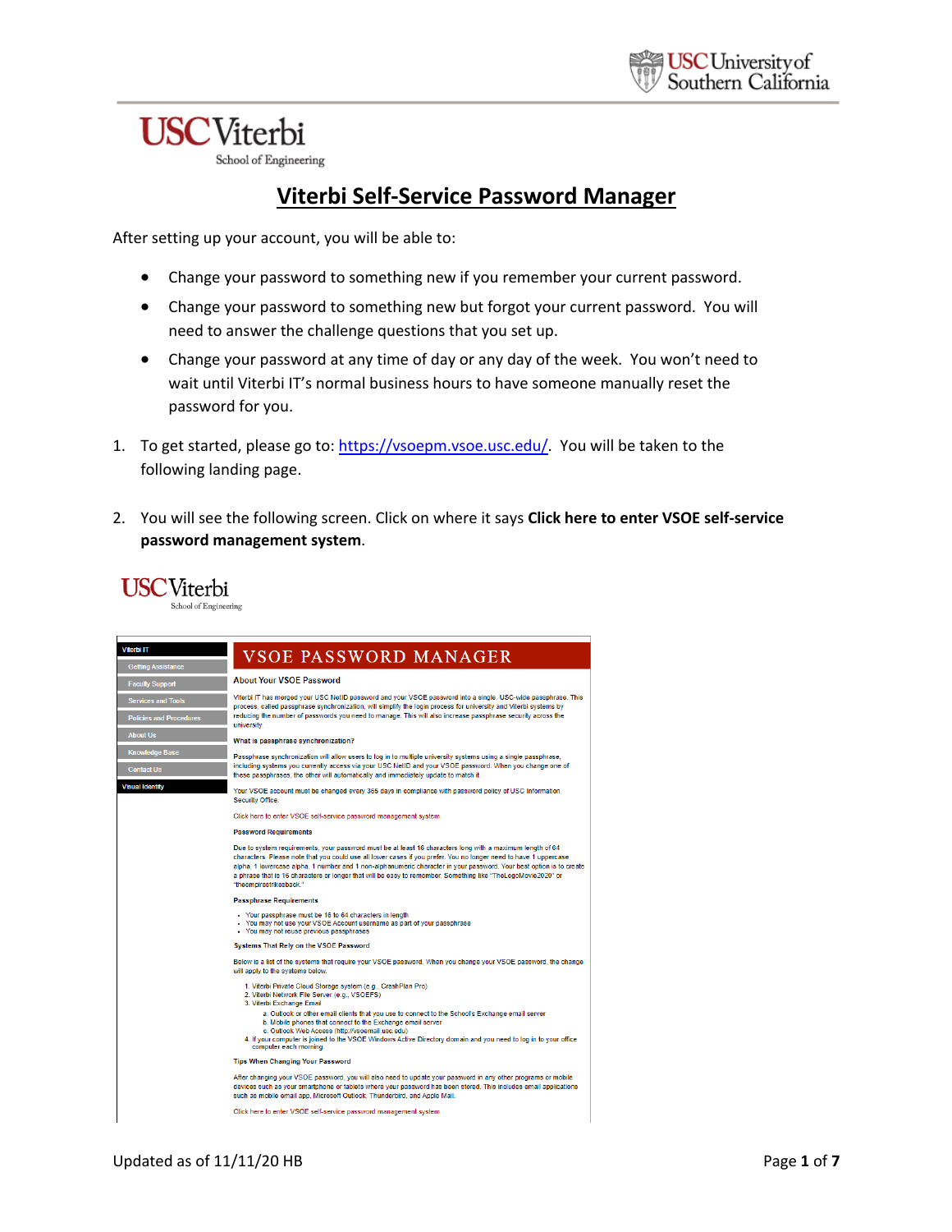# **USC**Viterbi

**USC**Viterbi

School of Engineering

# **Viterbi Self-Service Password Manager**

After setting up your account, you will be able to:

- Change your password to something new if you remember your current password.
- Change your password to something new but forgot your current password. You will need to answer the challenge questions that you set up.
- Change your password at any time of day or any day of the week. You won't need to wait until Viterbi IT's normal business hours to have someone manually reset the password for you.
- 1. To get started, please go to: https://vsoepm.vsoe.usc.edu/. You will be taken to the following landing page.
- 2. You will see the following screen. Click on where it says **Click here to enter VSOE self-service password management system**.

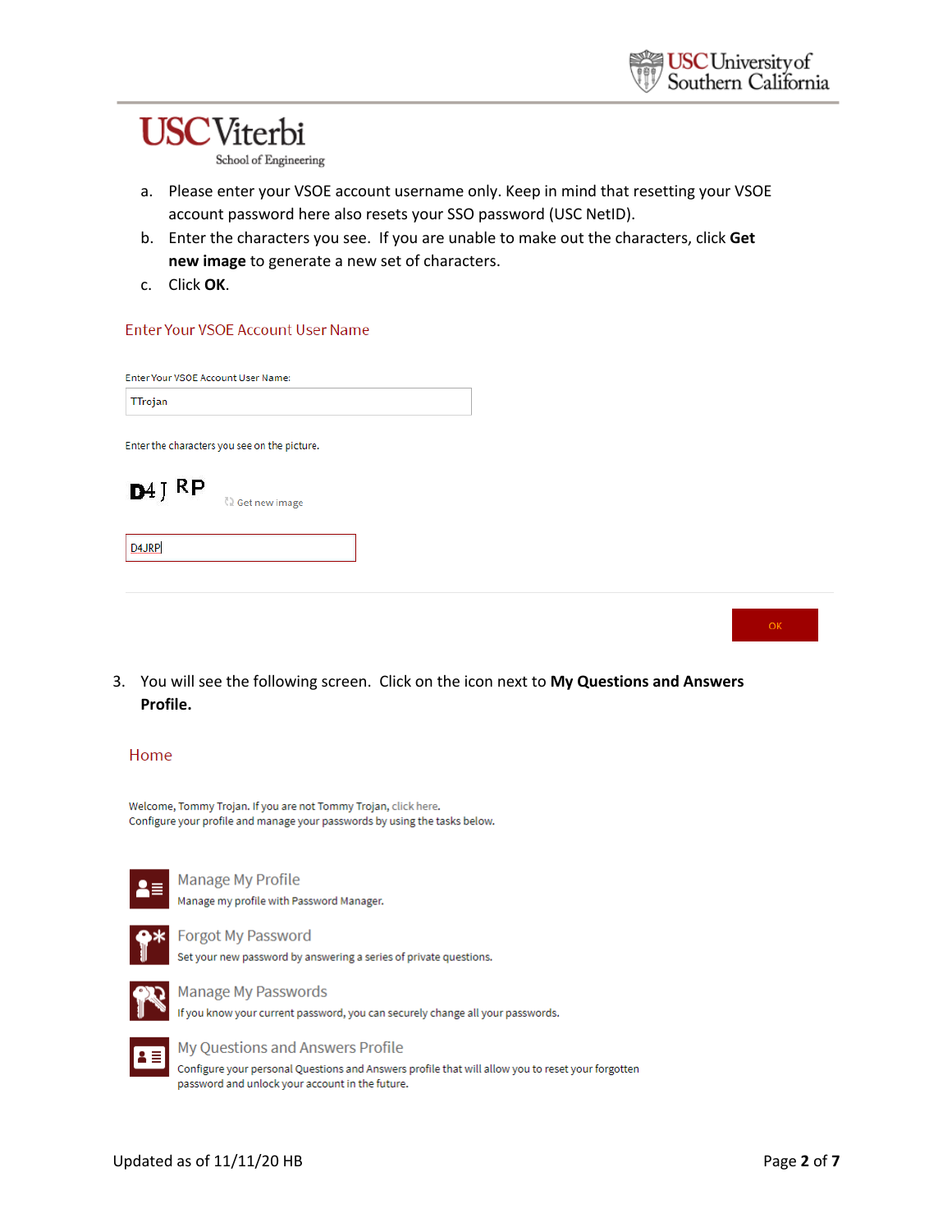# **USC**Viterbi

School of Engineering

- a. Please enter your VSOE account username only. Keep in mind that resetting your VSOE account password here also resets your SSO password (USC NetID).
- b. Enter the characters you see. If you are unable to make out the characters, click **Get new image** to generate a new set of characters.
- c. Click **OK**.

# Enter Your VSOE Account User Name

Enter Your VSOE Account User Name:

| TTrojan |
|---------|
|---------|

Enter the characters you see on the picture.



**C2** Get new image

**DAJRP** 

3. You will see the following screen. Click on the icon next to **My Questions and Answers** 

# Home

**Profile.**

Welcome, Tommy Trojan. If you are not Tommy Trojan, click here. Configure your profile and manage your passwords by using the tasks below.



Manage My Profile Manage my profile with Password Manager.



Forgot My Password Set your new password by answering a series of private questions.



**Manage My Passwords** If you know your current password, you can securely change all your passwords.



My Questions and Answers Profile Configure your personal Questions and Answers profile that will allow you to reset your forgotten password and unlock your account in the future.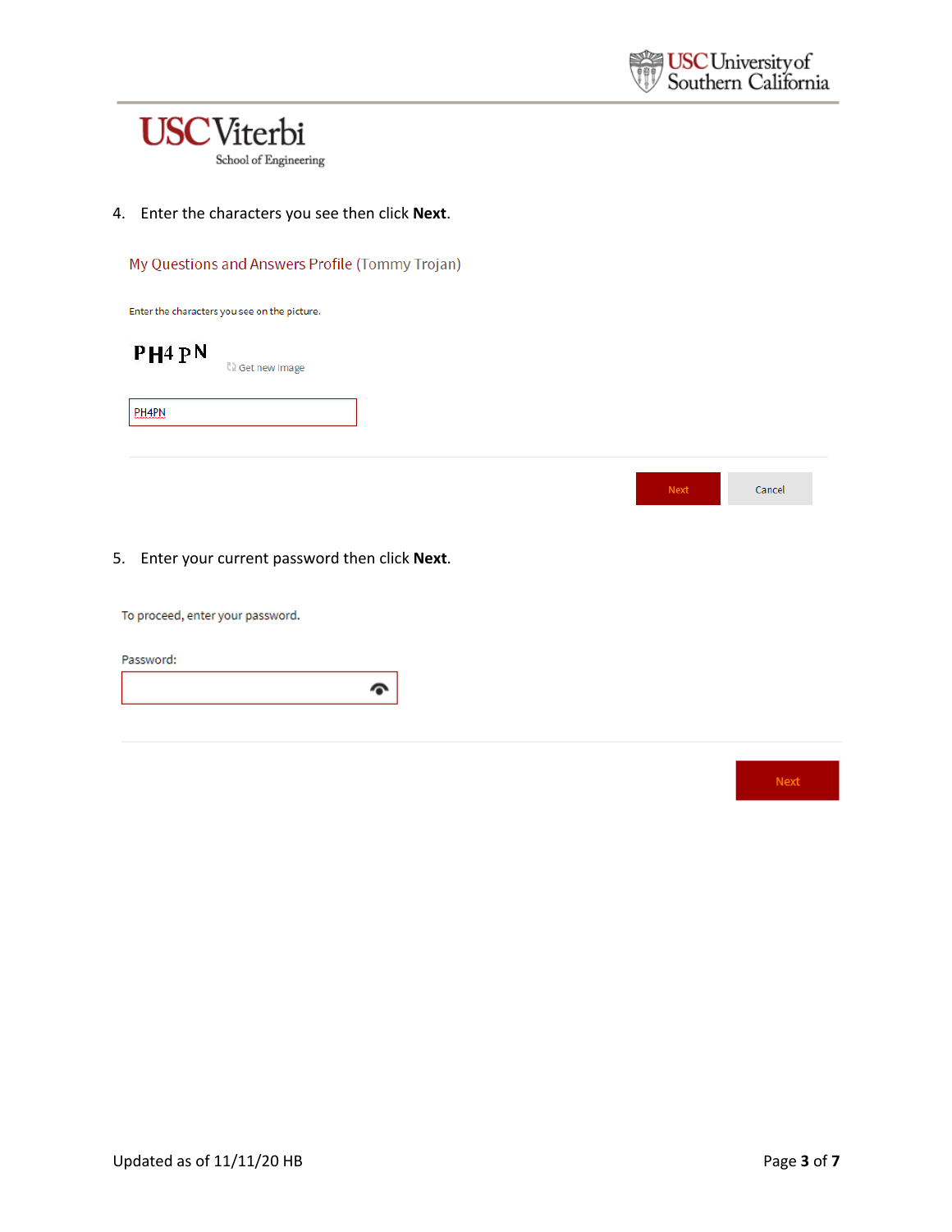

4. Enter the characters you see then click **Next**.

My Questions and Answers Profile (Tommy Trojan)

Enter the characters you see on the picture.

PH<sub>4</sub> PN **C** Get new image **PHAPN** 



To proceed, enter your password.

Password:

Next

Cancel

Next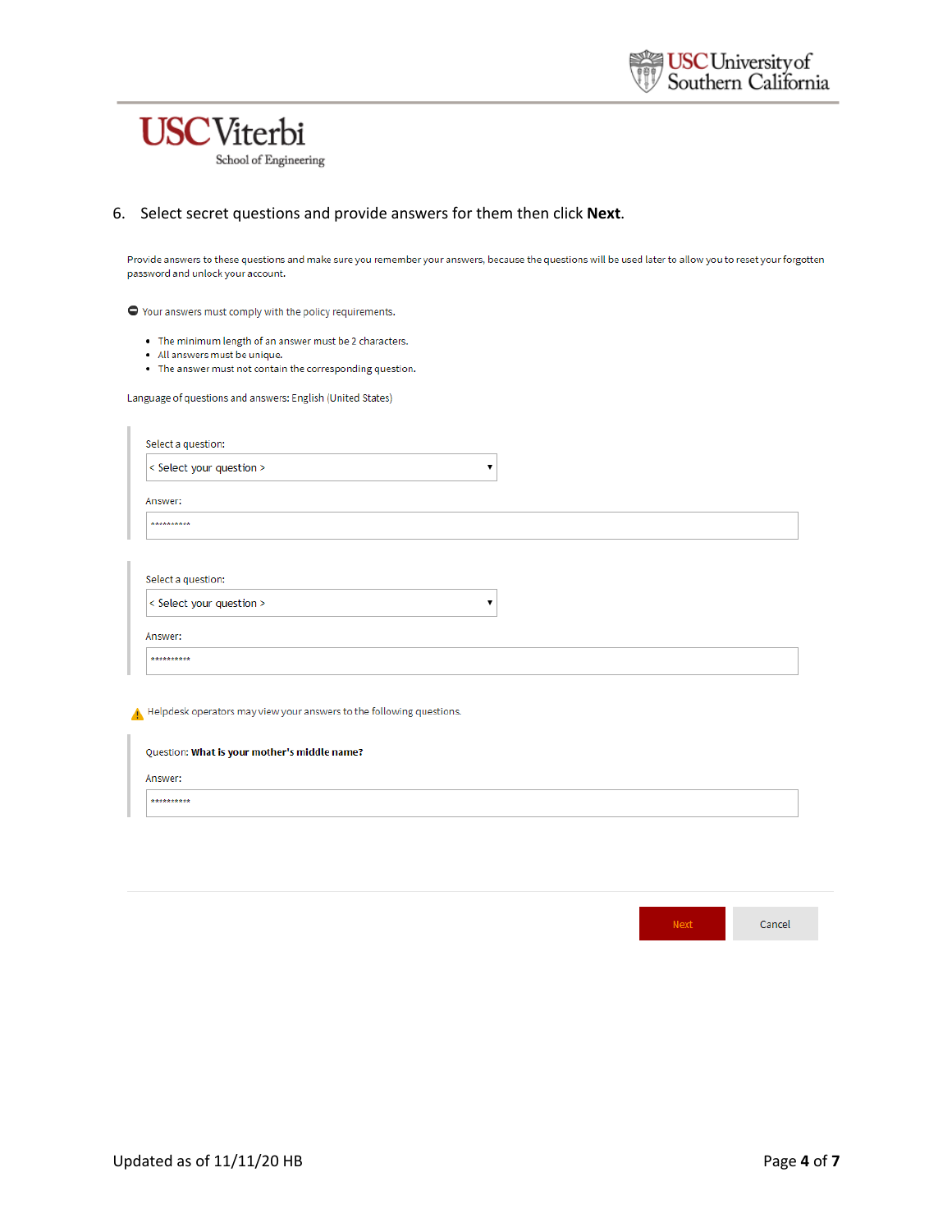

#### 6. Select secret questions and provide answers for them then click Next.

Provide answers to these questions and make sure you remember your answers, because the questions will be used later to allow you to reset your forgotten password and unlock your account.

 $\bullet$  Your answers must comply with the policy requirements.

- The minimum length of an answer must be 2 characters.
- · All answers must be unique.
- The answer must not contain the corresponding question.

Language of questions and answers: English (United States)

| < Select your question > |  |
|--------------------------|--|
| Answer:                  |  |

Helpdesk operators may view your answers to the following questions.

| Question: What is your mother's middle name? |  |
|----------------------------------------------|--|
| Answer:                                      |  |

\*\*\*\*\*\*\*\*\*\*

| <b>WEEK!</b> | Cancel |
|--------------|--------|
|--------------|--------|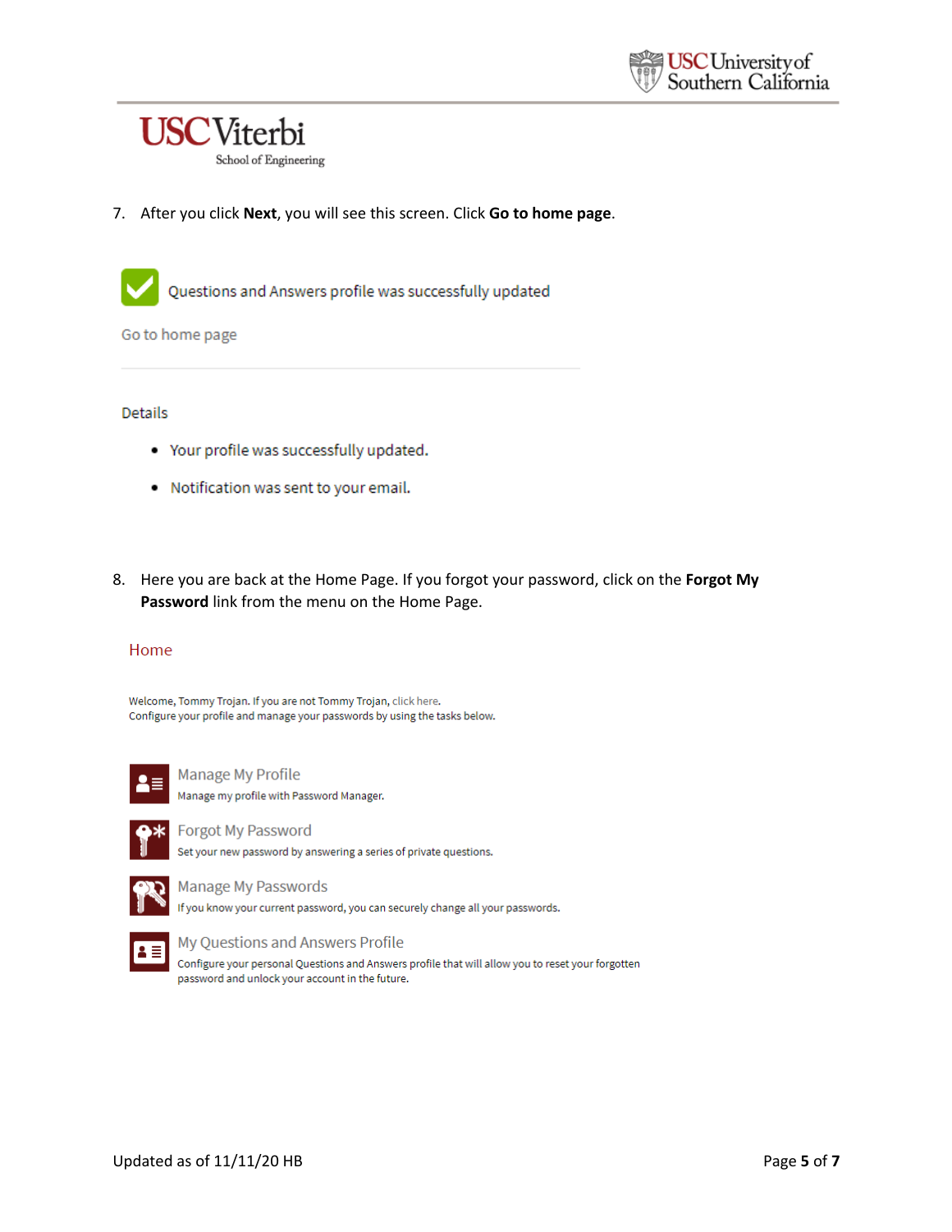

7. After you click Next, you will see this screen. Click Go to home page.

Questions and Answers profile was successfully updated

Go to home page

#### Details

- Your profile was successfully updated.
- . Notification was sent to your email.
- 8. Here you are back at the Home Page. If you forgot your password, click on the Forgot My Password link from the menu on the Home Page.

#### Home

Welcome, Tommy Trojan. If you are not Tommy Trojan, click here. Configure your profile and manage your passwords by using the tasks below.



**Manage My Profile** Manage my profile with Password Manager.



Forgot My Password

Set your new password by answering a series of private questions.



Manage My Passwords

If you know your current password, you can securely change all your passwords.



#### My Questions and Answers Profile

Configure your personal Questions and Answers profile that will allow you to reset your forgotten password and unlock your account in the future.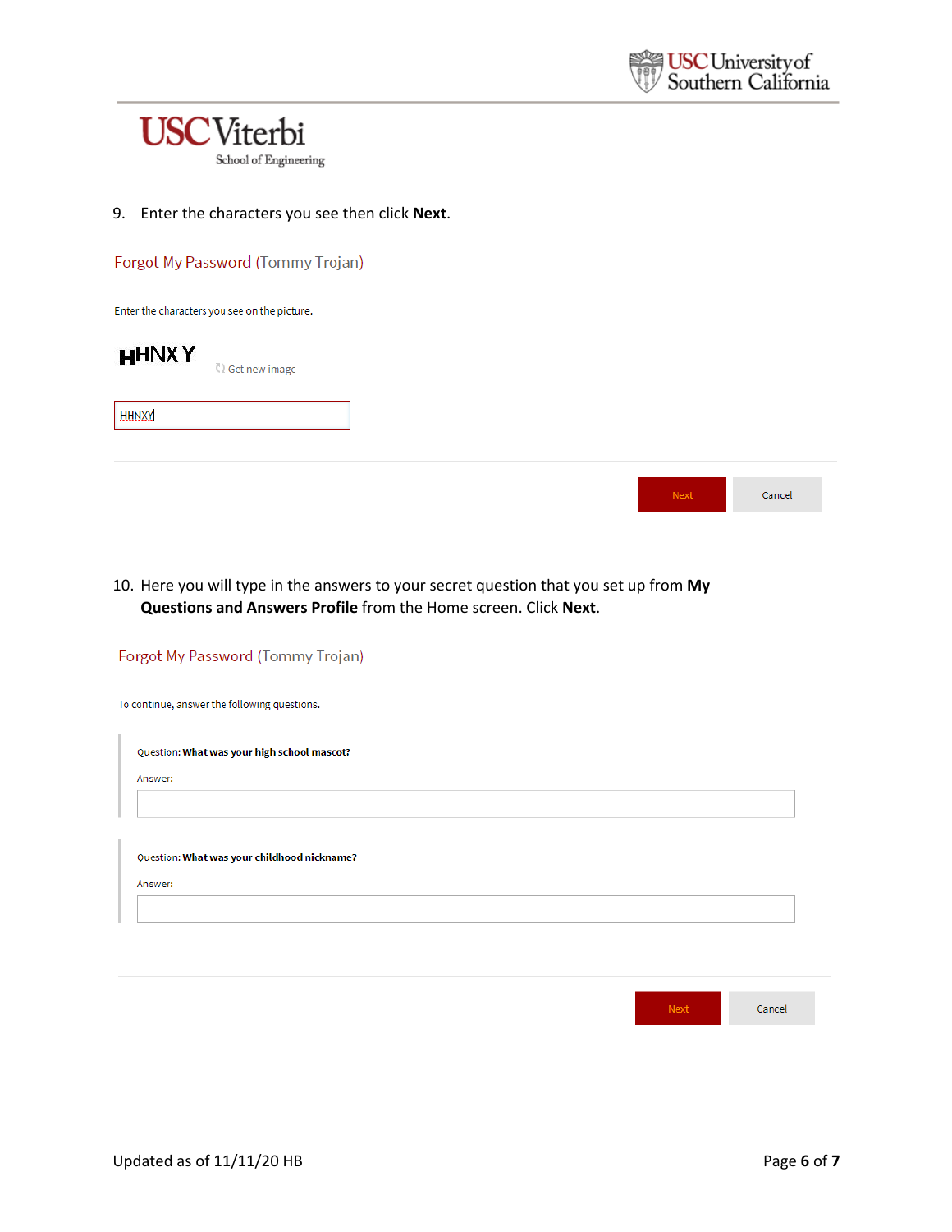

9. Enter the characters you see then click **Next**.

| Forgot My Password (Tommy Trojan) |  |
|-----------------------------------|--|

Enter the characters you see on the picture.



**C**) Get new image

**HHNXY** 

| 437 | Cancel |
|-----|--------|
|-----|--------|

10. Here you will type in the answers to your secret question that you set up from **My Questions and Answers Profile** from the Home screen. Click **Next**.

| Forgot My Password (Tommy Trojan)            |      |        |
|----------------------------------------------|------|--------|
| To continue, answer the following questions. |      |        |
| Question: What was your high school mascot?  |      |        |
| Answer:                                      |      |        |
|                                              |      |        |
| Question: What was your childhood nickname?  |      |        |
| Answer:                                      |      |        |
|                                              |      |        |
|                                              |      |        |
|                                              |      |        |
|                                              | Next | Cancel |